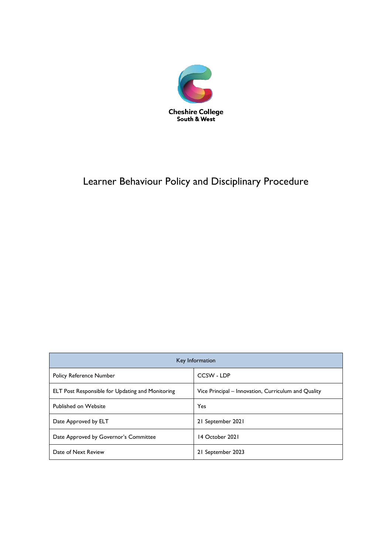

# Learner Behaviour Policy and Disciplinary Procedure

| Key Information                                         |                                                     |  |
|---------------------------------------------------------|-----------------------------------------------------|--|
| Policy Reference Number                                 | CCSW - LDP                                          |  |
| <b>ELT Post Responsible for Updating and Monitoring</b> | Vice Principal – Innovation, Curriculum and Quality |  |
| <b>Published on Website</b>                             | Yes                                                 |  |
| Date Approved by ELT                                    | 21 September 2021                                   |  |
| Date Approved by Governor's Committee                   | 14 October 2021                                     |  |
| Date of Next Review                                     | 21 September 2023                                   |  |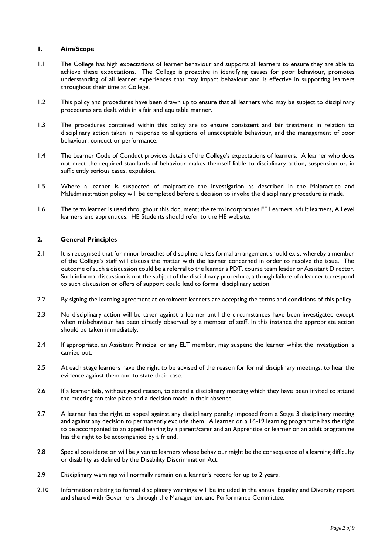#### **1. Aim/Scope**

- 1.1 The College has high expectations of learner behaviour and supports all learners to ensure they are able to achieve these expectations. The College is proactive in identifying causes for poor behaviour, promotes understanding of all learner experiences that may impact behaviour and is effective in supporting learners throughout their time at College.
- 1.2 This policy and procedures have been drawn up to ensure that all learners who may be subject to disciplinary procedures are dealt with in a fair and equitable manner.
- 1.3 The procedures contained within this policy are to ensure consistent and fair treatment in relation to disciplinary action taken in response to allegations of unacceptable behaviour, and the management of poor behaviour, conduct or performance.
- 1.4 The Learner Code of Conduct provides details of the College's expectations of learners. A learner who does not meet the required standards of behaviour makes themself liable to disciplinary action, suspension or, in sufficiently serious cases, expulsion.
- 1.5 Where a learner is suspected of malpractice the investigation as described in the Malpractice and Maladministration policy will be completed before a decision to invoke the disciplinary procedure is made.
- 1.6 The term learner is used throughout this document; the term incorporates FE Learners, adult learners, A Level learners and apprentices. HE Students should refer to the HE website.

#### **2. General Principles**

- 2.1 It is recognised that for minor breaches of discipline, a less formal arrangement should exist whereby a member of the College's staff will discuss the matter with the learner concerned in order to resolve the issue. The outcome of such a discussion could be a referral to the learner's PDT, course team leader or Assistant Director. Such informal discussion is not the subject of the disciplinary procedure, although failure of a learner to respond to such discussion or offers of support could lead to formal disciplinary action.
- 2.2 By signing the learning agreement at enrolment learners are accepting the terms and conditions of this policy.
- 2.3 No disciplinary action will be taken against a learner until the circumstances have been investigated except when misbehaviour has been directly observed by a member of staff. In this instance the appropriate action should be taken immediately.
- 2.4 If appropriate, an Assistant Principal or any ELT member, may suspend the learner whilst the investigation is carried out.
- 2.5 At each stage learners have the right to be advised of the reason for formal disciplinary meetings, to hear the evidence against them and to state their case.
- 2.6 If a learner fails, without good reason, to attend a disciplinary meeting which they have been invited to attend the meeting can take place and a decision made in their absence.
- 2.7 A learner has the right to appeal against any disciplinary penalty imposed from a Stage 3 disciplinary meeting and against any decision to permanently exclude them. A learner on a 16-19 learning programme has the right to be accompanied to an appeal hearing by a parent/carer and an Apprentice or learner on an adult programme has the right to be accompanied by a friend.
- 2.8 Special consideration will be given to learners whose behaviour might be the consequence of a learning difficulty or disability as defined by the Disability Discrimination Act.
- 2.9 Disciplinary warnings will normally remain on a learner's record for up to 2 years.
- 2.10 Information relating to formal disciplinary warnings will be included in the annual Equality and Diversity report and shared with Governors through the Management and Performance Committee.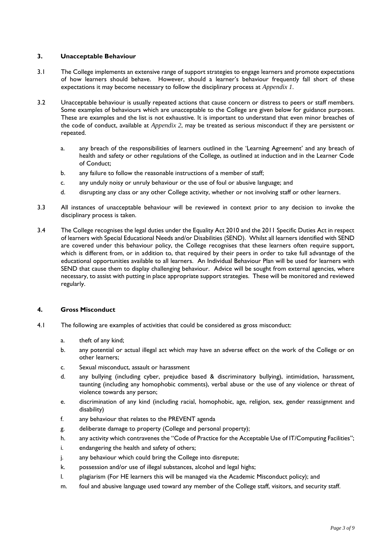#### **3. Unacceptable Behaviour**

- 3.1 The College implements an extensive range of support strategies to engage learners and promote expectations of how learners should behave. However, should a learner's behaviour frequently fall short of these expectations it may become necessary to follow the disciplinary process at *Appendix 1*.
- 3.2 Unacceptable behaviour is usually repeated actions that cause concern or distress to peers or staff members. Some examples of behaviours which are unacceptable to the College are given below for guidance purposes. These are examples and the list is not exhaustive. It is important to understand that even minor breaches of the code of conduct, available at *Appendix 2*, may be treated as serious misconduct if they are persistent or repeated.
	- a. any breach of the responsibilities of learners outlined in the 'Learning Agreement' and any breach of health and safety or other regulations of the College, as outlined at induction and in the Learner Code of Conduct;
	- b. any failure to follow the reasonable instructions of a member of staff;
	- c. any unduly noisy or unruly behaviour or the use of foul or abusive language; and
	- d. disrupting any class or any other College activity, whether or not involving staff or other learners.
- 3.3 All instances of unacceptable behaviour will be reviewed in context prior to any decision to invoke the disciplinary process is taken.
- 3.4 The College recognises the legal duties under the Equality Act 2010 and the 2011 Specific Duties Act in respect of learners with Special Educational Needs and/or Disabilities (SEND). Whilst all learners identified with SEND are covered under this behaviour policy, the College recognises that these learners often require support, which is different from, or in addition to, that required by their peers in order to take full advantage of the educational opportunities available to all learners. An Individual Behaviour Plan will be used for learners with SEND that cause them to display challenging behaviour. Advice will be sought from external agencies, where necessary, to assist with putting in place appropriate support strategies. These will be monitored and reviewed regularly.

#### **4. Gross Misconduct**

- 4.1 The following are examples of activities that could be considered as gross misconduct:
	- a. theft of any kind;
	- b. any potential or actual illegal act which may have an adverse effect on the work of the College or on other learners;
	- c. Sexual misconduct, assault or harassment
	- d. any bullying (including cyber, prejudice based & discriminatory bullying), intimidation, harassment, taunting (including any homophobic comments), verbal abuse or the use of any violence or threat of violence towards any person;
	- e. discrimination of any kind (including racial, homophobic, age, religion, sex, gender reassignment and disability)
	- f. any behaviour that relates to the PREVENT agenda
	- g. deliberate damage to property (College and personal property);
	- h. any activity which contravenes the "Code of Practice for the Acceptable Use of IT/Computing Facilities";
	- i. endangering the health and safety of others;
	- j. any behaviour which could bring the College into disrepute;
	- k. possession and/or use of illegal substances, alcohol and legal highs;
	- l. plagiarism (For HE learners this will be managed via the Academic Misconduct policy); and
	- m. foul and abusive language used toward any member of the College staff, visitors, and security staff.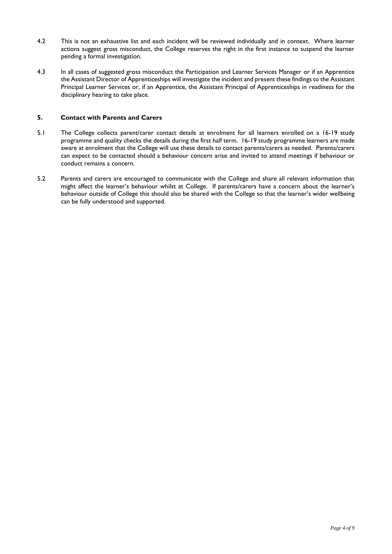- 4.2 This is not an exhaustive list and each incident will be reviewed individually and in context. Where learner actions suggest gross misconduct, the College reserves the right in the first instance to suspend the learner pending a formal investigation.
- 4.3 In all cases of suggested gross misconduct the Participation and Learner Services Manager or if an Apprentice the Assistant Director of Apprenticeships will investigate the incident and present these findings to the Assistant Principal Learner Services or, if an Apprentice, the Assistant Principal of Apprenticeships in readiness for the disciplinary hearing to take place.

#### **5. Contact with Parents and Carers**

- 5.1 The College collects parent/carer contact details at enrolment for all learners enrolled on a 16-19 study programme and quality checks the details during the first half term. 16-19 study programme learners are made aware at enrolment that the College will use these details to contact parents/carers as needed. Parents/carers can expect to be contacted should a behaviour concern arise and invited to attend meetings if behaviour or conduct remains a concern.
- 5.2 Parents and carers are encouraged to communicate with the College and share all relevant information that might affect the learner's behaviour whilst at College. If parents/carers have a concern about the learner's behaviour outside of College this should also be shared with the College so that the learner's wider wellbeing can be fully understood and supported.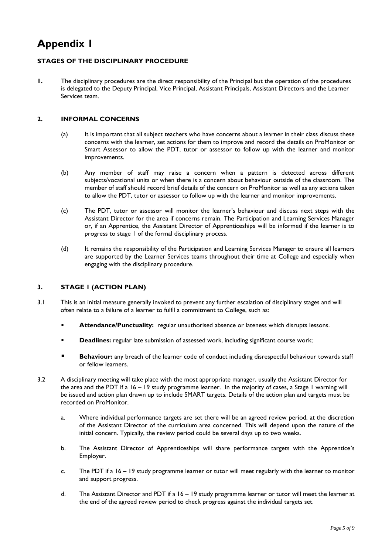# **Appendix 1**

# **STAGES OF THE DISCIPLINARY PROCEDURE**

**1.** The disciplinary procedures are the direct responsibility of the Principal but the operation of the procedures is delegated to the Deputy Principal, Vice Principal, Assistant Principals, Assistant Directors and the Learner Services team.

### **2. INFORMAL CONCERNS**

- (a) It is important that all subject teachers who have concerns about a learner in their class discuss these concerns with the learner, set actions for them to improve and record the details on ProMonitor or Smart Assessor to allow the PDT, tutor or assessor to follow up with the learner and monitor improvements.
- (b) Any member of staff may raise a concern when a pattern is detected across different subjects/vocational units or when there is a concern about behaviour outside of the classroom. The member of staff should record brief details of the concern on ProMonitor as well as any actions taken to allow the PDT, tutor or assessor to follow up with the learner and monitor improvements.
- (c) The PDT, tutor or assessor will monitor the learner's behaviour and discuss next steps with the Assistant Director for the area if concerns remain. The Participation and Learning Services Manager or, if an Apprentice, the Assistant Director of Apprenticeships will be informed if the learner is to progress to stage 1 of the formal disciplinary process.
- (d) It remains the responsibility of the Participation and Learning Services Manager to ensure all learners are supported by the Learner Services teams throughout their time at College and especially when engaging with the disciplinary procedure.

### **3. STAGE 1 (ACTION PLAN)**

- 3.1 This is an initial measure generally invoked to prevent any further escalation of disciplinary stages and will often relate to a failure of a learner to fulfil a commitment to College, such as:
	- Attendance/Punctuality: regular unauthorised absence or lateness which disrupts lessons.
	- **Deadlines:** regular late submission of assessed work, including significant course work;
	- **Behaviour:** any breach of the learner code of conduct including disrespectful behaviour towards staff or fellow learners.
- 3.2 A disciplinary meeting will take place with the most appropriate manager, usually the Assistant Director for the area and the PDT if a 16 – 19 study programme learner. In the majority of cases, a Stage 1 warning will be issued and action plan drawn up to include SMART targets. Details of the action plan and targets must be recorded on ProMonitor.
	- a. Where individual performance targets are set there will be an agreed review period, at the discretion of the Assistant Director of the curriculum area concerned. This will depend upon the nature of the initial concern. Typically, the review period could be several days up to two weeks.
	- b. The Assistant Director of Apprenticeships will share performance targets with the Apprentice's Employer.
	- c. The PDT if a 16 19 study programme learner or tutor will meet regularly with the learner to monitor and support progress.
	- d. The Assistant Director and PDT if a 16 19 study programme learner or tutor will meet the learner at the end of the agreed review period to check progress against the individual targets set.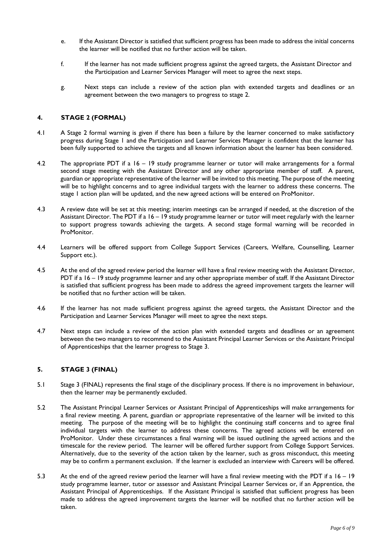- e. If the Assistant Director is satisfied that sufficient progress has been made to address the initial concerns the learner will be notified that no further action will be taken.
- f. If the learner has not made sufficient progress against the agreed targets, the Assistant Director and the Participation and Learner Services Manager will meet to agree the next steps.
- g. Next steps can include a review of the action plan with extended targets and deadlines or an agreement between the two managers to progress to stage 2.

# **4. STAGE 2 (FORMAL)**

- 4.1 A Stage 2 formal warning is given if there has been a failure by the learner concerned to make satisfactory progress during Stage 1 and the Participation and Learner Services Manager is confident that the learner has been fully supported to achieve the targets and all known information about the learner has been considered.
- 4.2 The appropriate PDT if a 16 19 study programme learner or tutor will make arrangements for a formal second stage meeting with the Assistant Director and any other appropriate member of staff. A parent, guardian or appropriate representative of the learner will be invited to this meeting. The purpose of the meeting will be to highlight concerns and to agree individual targets with the learner to address these concerns. The stage 1 action plan will be updated, and the new agreed actions will be entered on ProMonitor.
- 4.3 A review date will be set at this meeting; interim meetings can be arranged if needed, at the discretion of the Assistant Director. The PDT if a 16 – 19 study programme learner or tutor will meet regularly with the learner to support progress towards achieving the targets. A second stage formal warning will be recorded in ProMonitor.
- 4.4 Learners will be offered support from College Support Services (Careers, Welfare, Counselling, Learner Support etc.).
- 4.5 At the end of the agreed review period the learner will have a final review meeting with the Assistant Director, PDT if a 16 – 19 study programme learner and any other appropriate member of staff. If the Assistant Director is satisfied that sufficient progress has been made to address the agreed improvement targets the learner will be notified that no further action will be taken.
- 4.6 If the learner has not made sufficient progress against the agreed targets, the Assistant Director and the Participation and Learner Services Manager will meet to agree the next steps.
- 4.7 Next steps can include a review of the action plan with extended targets and deadlines or an agreement between the two managers to recommend to the Assistant Principal Learner Services or the Assistant Principal of Apprenticeships that the learner progress to Stage 3.

### **5. STAGE 3 (FINAL)**

- 5.1 Stage 3 (FINAL) represents the final stage of the disciplinary process. If there is no improvement in behaviour, then the learner may be permanently excluded.
- 5.2 The Assistant Principal Learner Services or Assistant Principal of Apprenticeships will make arrangements for a final review meeting. A parent, guardian or appropriate representative of the learner will be invited to this meeting. The purpose of the meeting will be to highlight the continuing staff concerns and to agree final individual targets with the learner to address these concerns. The agreed actions will be entered on ProMonitor. Under these circumstances a final warning will be issued outlining the agreed actions and the timescale for the review period. The learner will be offered further support from College Support Services. Alternatively, due to the severity of the action taken by the learner, such as gross misconduct, this meeting may be to confirm a permanent exclusion. If the learner is excluded an interview with Careers will be offered.
- 5.3 At the end of the agreed review period the learner will have a final review meeting with the PDT if a 16 19 study programme learner, tutor or assessor and Assistant Principal Learner Services or, if an Apprentice, the Assistant Principal of Apprenticeships. If the Assistant Principal is satisfied that sufficient progress has been made to address the agreed improvement targets the learner will be notified that no further action will be taken.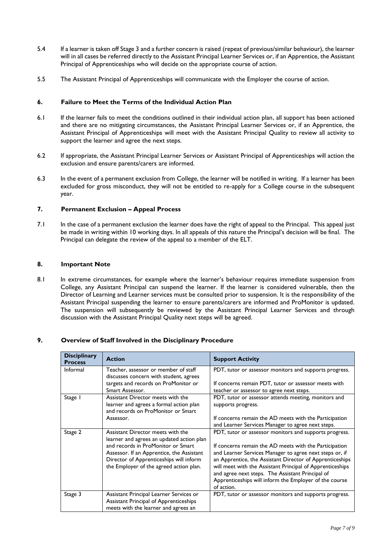- 5.4 If a learner is taken off Stage 3 and a further concern is raised (repeat of previous/similar behaviour), the learner will in all cases be referred directly to the Assistant Principal Learner Services or, if an Apprentice, the Assistant Principal of Apprenticeships who will decide on the appropriate course of action.
- 5.5 The Assistant Principal of Apprenticeships will communicate with the Employer the course of action.

#### **6. Failure to Meet the Terms of the Individual Action Plan**

- 6.1 If the learner fails to meet the conditions outlined in their individual action plan, all support has been actioned and there are no mitigating circumstances, the Assistant Principal Learner Services or, if an Apprentice, the Assistant Principal of Apprenticeships will meet with the Assistant Principal Quality to review all activity to support the learner and agree the next steps.
- 6.2 If appropriate, the Assistant Principal Learner Services or Assistant Principal of Apprenticeships will action the exclusion and ensure parents/carers are informed.
- 6.3 In the event of a permanent exclusion from College, the learner will be notified in writing. If a learner has been excluded for gross misconduct, they will not be entitled to re-apply for a College course in the subsequent year.

#### **7. Permanent Exclusion – Appeal Process**

7.1 In the case of a permanent exclusion the learner does have the right of appeal to the Principal. This appeal just be made in writing within 10 working days. In all appeals of this nature the Principal's decision will be final. The Principal can delegate the review of the appeal to a member of the ELT.

#### **8. Important Note**

8.1 In extreme circumstances, for example where the learner's behaviour requires immediate suspension from College, any Assistant Principal can suspend the learner. If the learner is considered vulnerable, then the Director of Learning and Learner services must be consulted prior to suspension. It is the responsibility of the Assistant Principal suspending the learner to ensure parents/carers are informed and ProMonitor is updated. The suspension will subsequently be reviewed by the Assistant Principal Learner Services and through discussion with the Assistant Principal Quality next steps will be agreed.

### **9. Overview of Staff Involved in the Disciplinary Procedure**

| <b>Disciplinary</b><br><b>Process</b> | <b>Action</b>                                                                                                                                                         | <b>Support Activity</b>                                                                                                                                                                                                                                                                                                                                                |
|---------------------------------------|-----------------------------------------------------------------------------------------------------------------------------------------------------------------------|------------------------------------------------------------------------------------------------------------------------------------------------------------------------------------------------------------------------------------------------------------------------------------------------------------------------------------------------------------------------|
| Informal                              | Teacher, assessor or member of staff<br>discusses concern with student, agrees                                                                                        | PDT, tutor or assessor monitors and supports progress.                                                                                                                                                                                                                                                                                                                 |
|                                       | targets and records on ProMonitor or<br>Smart Assessor.                                                                                                               | If concerns remain PDT, tutor or assessor meets with<br>teacher or assessor to agree next steps.                                                                                                                                                                                                                                                                       |
| Stage I                               | Assistant Director meets with the<br>learner and agrees a formal action plan<br>and records on ProMonitor or Smart                                                    | PDT, tutor or assessor attends meeting, monitors and<br>supports progress.                                                                                                                                                                                                                                                                                             |
|                                       | Assessor.                                                                                                                                                             | If concerns remain the AD meets with the Participation<br>and Learner Services Manager to agree next steps.                                                                                                                                                                                                                                                            |
| Stage 2                               | Assistant Director meets with the<br>learner and agrees an updated action plan                                                                                        | PDT, tutor or assessor monitors and supports progress.                                                                                                                                                                                                                                                                                                                 |
|                                       | and records in ProMonitor or Smart<br>Assessor. If an Apprentice, the Assistant<br>Director of Apprenticeships will inform<br>the Employer of the agreed action plan. | If concerns remain the AD meets with the Participation<br>and Learner Services Manager to agree next steps or, if<br>an Apprentice, the Assistant Director of Apprenticeships<br>will meet with the Assistant Principal of Apprenticeships<br>and agree next steps. The Assistant Principal of<br>Apprenticeships will inform the Employer of the course<br>of action. |
| Stage 3                               | Assistant Principal Learner Services or<br>Assistant Principal of Apprenticeships<br>meets with the learner and agrees an                                             | PDT, tutor or assessor monitors and supports progress.                                                                                                                                                                                                                                                                                                                 |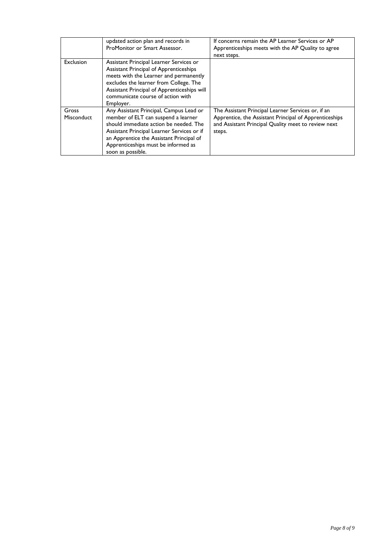|                     | updated action plan and records in<br>ProMonitor or Smart Assessor.                                                                                                                                                                                                            | If concerns remain the AP Learner Services or AP<br>Apprenticeships meets with the AP Quality to agree<br>next steps.                                                         |
|---------------------|--------------------------------------------------------------------------------------------------------------------------------------------------------------------------------------------------------------------------------------------------------------------------------|-------------------------------------------------------------------------------------------------------------------------------------------------------------------------------|
| <b>Exclusion</b>    | Assistant Principal Learner Services or<br>Assistant Principal of Apprenticeships<br>meets with the Learner and permanently<br>excludes the learner from College. The<br>Assistant Principal of Apprenticeships will<br>communicate course of action with<br>Employer.         |                                                                                                                                                                               |
| Gross<br>Misconduct | Any Assistant Principal, Campus Lead or<br>member of ELT can suspend a learner<br>should immediate action be needed. The<br>Assistant Principal Learner Services or if<br>an Apprentice the Assistant Principal of<br>Apprenticeships must be informed as<br>soon as possible. | The Assistant Principal Learner Services or, if an<br>Apprentice, the Assistant Principal of Apprenticeships<br>and Assistant Principal Quality meet to review next<br>steps. |